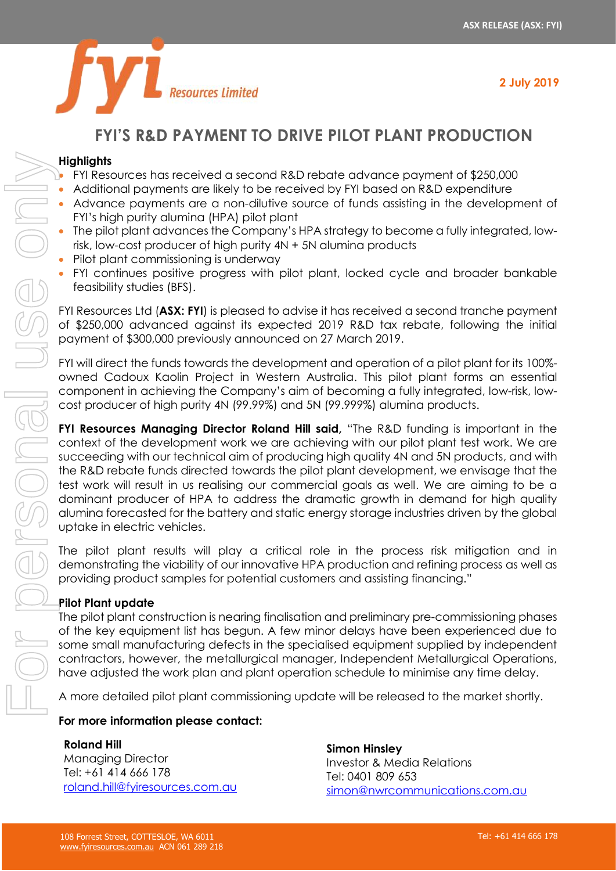

# **Resources Limited**

# **FYI'S R&D PAYMENT TO DRIVE PILOT PLANT PRODUCTION**

#### **Highlights**

- FYI Resources has received a second R&D rebate advance payment of \$250,000
- Additional payments are likely to be received by FYI based on R&D expenditure
- Advance payments are a non-dilutive source of funds assisting in the development of FYI's high purity alumina (HPA) pilot plant
- The pilot plant advances the Company's HPA strategy to become a fully integrated, lowrisk, low-cost producer of high purity 4N + 5N alumina products
- Pilot plant commissioning is underway
- FYI continues positive progress with pilot plant, locked cycle and broader bankable feasibility studies (BFS).

FYI Resources Ltd (**ASX: FYI**) is pleased to advise it has received a second tranche payment of \$250,000 advanced against its expected 2019 R&D tax rebate, following the initial payment of \$300,000 previously announced on 27 March 2019.

FYI will direct the funds towards the development and operation of a pilot plant for its 100% owned Cadoux Kaolin Project in Western Australia. This pilot plant forms an essential component in achieving the Company's aim of becoming a fully integrated, low-risk, lowcost producer of high purity 4N (99.99%) and 5N (99.999%) alumina products.

**FYI Resources Managing Director Roland Hill said,** "The R&D funding is important in the context of the development work we are achieving with our pilot plant test work. We are succeeding with our technical aim of producing high quality 4N and 5N products, and with the R&D rebate funds directed towards the pilot plant development, we envisage that the test work will result in us realising our commercial goals as well. We are aiming to be a dominant producer of HPA to address the dramatic growth in demand for high quality alumina forecasted for the battery and static energy storage industries driven by the global uptake in electric vehicles.

The pilot plant results will play a critical role in the process risk mitigation and in demonstrating the viability of our innovative HPA production and refining process as well as providing product samples for potential customers and assisting financing."

## **Pilot Plant update**

The pilot plant construction is nearing finalisation and preliminary pre-commissioning phases of the key equipment list has begun. A few minor delays have been experienced due to some small manufacturing defects in the specialised equipment supplied by independent contractors, however, the metallurgical manager, Independent Metallurgical Operations, have adjusted the work plan and plant operation schedule to minimise any time delay.

A more detailed pilot plant commissioning update will be released to the market shortly.

## **For more information please contact:**

## **Roland Hill**

Managing Director Tel: +61 414 666 178 [roland.hill@fyiresources.com.au](mailto:roland.hill@fyiresources.com.au) 

**Simon Hinsley** Investor & Media Relations Tel: 0401 809 653 [simon@nwrcommunications.com.au](mailto:simon@nwrcommunications.com.au)